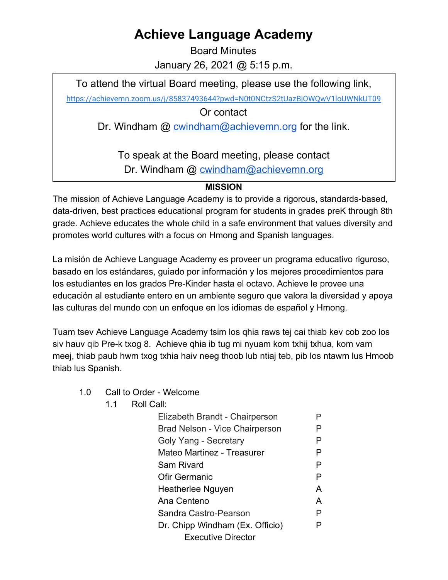## **Achieve Language Academy**

Board Minutes January 26, 2021 @ 5:15 p.m.

To attend the virtual Board meeting, please use the following link,

<https://achievemn.zoom.us/j/85837493644?pwd=N0t0NCtzS2tUazBjOWQwV1loUWNkUT09>

Or contact

Dr. Windham @ [cwindham@achievemn.org](mailto:cwindham@achievemn.org) for the link.

To speak at the Board meeting, please contact Dr. Windham @ [cwindham@achievemn.org](mailto:cwindham@achievemn.org)

## **MISSION**

The mission of Achieve Language Academy is to provide a rigorous, standards-based, data-driven, best practices educational program for students in grades preK through 8th grade. Achieve educates the whole child in a safe environment that values diversity and promotes world cultures with a focus on Hmong and Spanish languages.

La misión de Achieve Language Academy es proveer un programa educativo riguroso, basado en los estándares, guiado por información y los mejores procedimientos para los estudiantes en los grados Pre-Kinder hasta el octavo. Achieve le provee una educación al estudiante entero en un ambiente seguro que valora la diversidad y apoya las culturas del mundo con un enfoque en los idiomas de español y Hmong.

Tuam tsev Achieve Language Academy tsim los qhia raws tej cai thiab kev cob zoo los siv hauv qib Pre-k txog 8. Achieve qhia ib tug mi nyuam kom txhij txhua, kom vam meej, thiab paub hwm txog txhia haiv neeg thoob lub ntiaj teb, pib los ntawm lus Hmoob thiab lus Spanish.

- 1.0 Call to Order Welcome
	- 1.1 Roll Call:

| Elizabeth Brandt - Chairperson  | P |  |
|---------------------------------|---|--|
| Brad Nelson - Vice Chairperson  |   |  |
| Goly Yang - Secretary           | Р |  |
| Mateo Martinez - Treasurer      | P |  |
| Sam Rivard                      | P |  |
| Ofir Germanic                   | P |  |
| Heatherlee Nguyen               |   |  |
| Ana Centeno                     |   |  |
| Sandra Castro-Pearson           |   |  |
| Dr. Chipp Windham (Ex. Officio) |   |  |
| Executive Director              |   |  |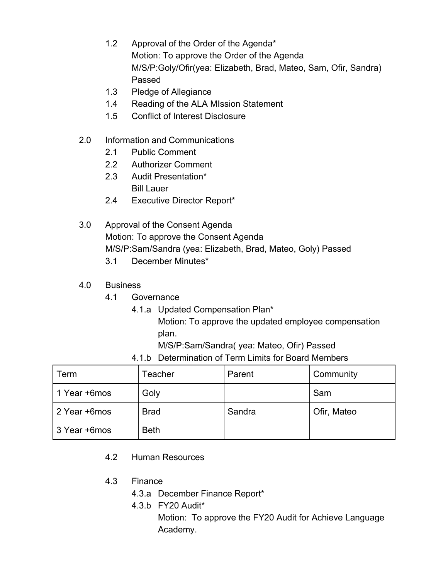- 1.2 Approval of the Order of the Agenda\* Motion: To approve the Order of the Agenda M/S/P:Goly/Ofir(yea: Elizabeth, Brad, Mateo, Sam, Ofir, Sandra) Passed
- 1.3 Pledge of Allegiance
- 1.4 Reading of the ALA MIssion Statement
- 1.5 Conflict of Interest Disclosure
- 2.0 Information and Communications
	- 2.1 Public Comment
	- 2.2 Authorizer Comment
	- 2.3 Audit Presentation\* Bill Lauer
	- 2.4 Executive Director Report\*
- 3.0 Approval of the Consent Agenda Motion: To approve the Consent Agenda M/S/P:Sam/Sandra (yea: Elizabeth, Brad, Mateo, Goly) Passed 3.1 December Minutes\*
	-
- 4.0 Business
	- 4.1 Governance
		- 4.1.a Updated Compensation Plan\*
			- Motion: To approve the updated employee compensation plan.
			- M/S/P:Sam/Sandra( yea: Mateo, Ofir) Passed
		- 4.1.b Determination of Term Limits for Board Members

| Term         | Teacher     | Parent | Community   |
|--------------|-------------|--------|-------------|
| 1 Year +6mos | Goly        |        | Sam         |
| 2 Year +6mos | <b>Brad</b> | Sandra | Ofir, Mateo |
| 3 Year +6mos | <b>Beth</b> |        |             |

- 4.2 Human Resources
- 4.3 Finance
	- 4.3.a December Finance Report\*
	- 4.3.b FY20 Audit\*
		- Motion: To approve the FY20 Audit for Achieve Language Academy.